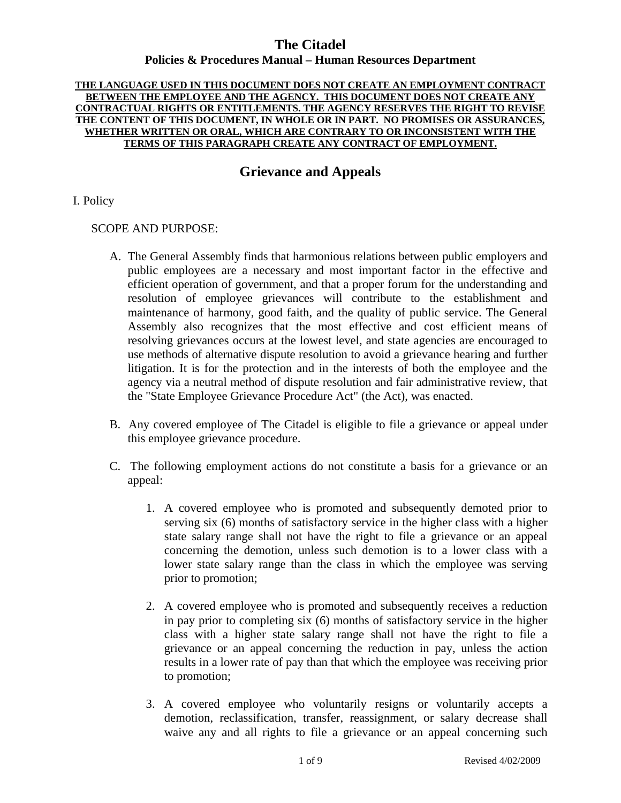#### **THE LANGUAGE USED IN THIS DOCUMENT DOES NOT CREATE AN EMPLOYMENT CONTRACT BETWEEN THE EMPLOYEE AND THE AGENCY. THIS DOCUMENT DOES NOT CREATE ANY CONTRACTUAL RIGHTS OR ENTITLEMENTS. THE AGENCY RESERVES THE RIGHT TO REVISE THE CONTENT OF THIS DOCUMENT, IN WHOLE OR IN PART. NO PROMISES OR ASSURANCES, WHETHER WRITTEN OR ORAL, WHICH ARE CONTRARY TO OR INCONSISTENT WITH THE TERMS OF THIS PARAGRAPH CREATE ANY CONTRACT OF EMPLOYMENT.**

# **Grievance and Appeals**

### I. Policy

### SCOPE AND PURPOSE:

- A. The General Assembly finds that harmonious relations between public employers and public employees are a necessary and most important factor in the effective and efficient operation of government, and that a proper forum for the understanding and resolution of employee grievances will contribute to the establishment and maintenance of harmony, good faith, and the quality of public service. The General Assembly also recognizes that the most effective and cost efficient means of resolving grievances occurs at the lowest level, and state agencies are encouraged to use methods of alternative dispute resolution to avoid a grievance hearing and further litigation. It is for the protection and in the interests of both the employee and the agency via a neutral method of dispute resolution and fair administrative review, that the "State Employee Grievance Procedure Act" (the Act), was enacted.
- B. Any covered employee of The Citadel is eligible to file a grievance or appeal under this employee grievance procedure.
- C. The following employment actions do not constitute a basis for a grievance or an appeal:
	- 1. A covered employee who is promoted and subsequently demoted prior to serving six (6) months of satisfactory service in the higher class with a higher state salary range shall not have the right to file a grievance or an appeal concerning the demotion, unless such demotion is to a lower class with a lower state salary range than the class in which the employee was serving prior to promotion;
	- 2. A covered employee who is promoted and subsequently receives a reduction in pay prior to completing six (6) months of satisfactory service in the higher class with a higher state salary range shall not have the right to file a grievance or an appeal concerning the reduction in pay, unless the action results in a lower rate of pay than that which the employee was receiving prior to promotion;
	- 3. A covered employee who voluntarily resigns or voluntarily accepts a demotion, reclassification, transfer, reassignment, or salary decrease shall waive any and all rights to file a grievance or an appeal concerning such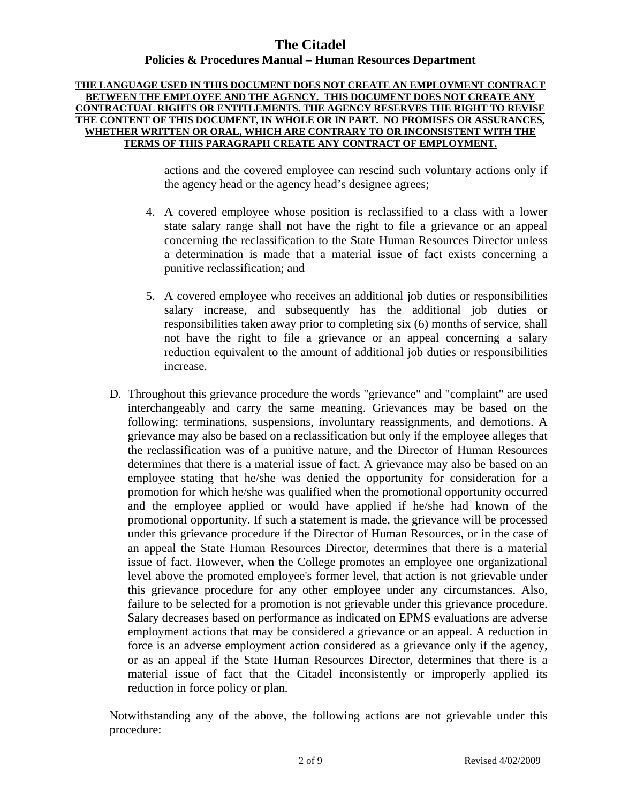#### **THE LANGUAGE USED IN THIS DOCUMENT DOES NOT CREATE AN EMPLOYMENT CONTRACT BETWEEN THE EMPLOYEE AND THE AGENCY. THIS DOCUMENT DOES NOT CREATE ANY CONTRACTUAL RIGHTS OR ENTITLEMENTS. THE AGENCY RESERVES THE RIGHT TO REVISE THE CONTENT OF THIS DOCUMENT, IN WHOLE OR IN PART. NO PROMISES OR ASSURANCES, WHETHER WRITTEN OR ORAL, WHICH ARE CONTRARY TO OR INCONSISTENT WITH THE TERMS OF THIS PARAGRAPH CREATE ANY CONTRACT OF EMPLOYMENT.**

actions and the covered employee can rescind such voluntary actions only if the agency head or the agency head's designee agrees;

- 4. A covered employee whose position is reclassified to a class with a lower state salary range shall not have the right to file a grievance or an appeal concerning the reclassification to the State Human Resources Director unless a determination is made that a material issue of fact exists concerning a punitive reclassification; and
- 5. A covered employee who receives an additional job duties or responsibilities salary increase, and subsequently has the additional job duties or responsibilities taken away prior to completing six (6) months of service, shall not have the right to file a grievance or an appeal concerning a salary reduction equivalent to the amount of additional job duties or responsibilities increase.
- D. Throughout this grievance procedure the words "grievance" and "complaint" are used interchangeably and carry the same meaning. Grievances may be based on the following: terminations, suspensions, involuntary reassignments, and demotions. A grievance may also be based on a reclassification but only if the employee alleges that the reclassification was of a punitive nature, and the Director of Human Resources determines that there is a material issue of fact. A grievance may also be based on an employee stating that he/she was denied the opportunity for consideration for a promotion for which he/she was qualified when the promotional opportunity occurred and the employee applied or would have applied if he/she had known of the promotional opportunity. If such a statement is made, the grievance will be processed under this grievance procedure if the Director of Human Resources, or in the case of an appeal the State Human Resources Director, determines that there is a material issue of fact. However, when the College promotes an employee one organizational level above the promoted employee's former level, that action is not grievable under this grievance procedure for any other employee under any circumstances. Also, failure to be selected for a promotion is not grievable under this grievance procedure. Salary decreases based on performance as indicated on EPMS evaluations are adverse employment actions that may be considered a grievance or an appeal. A reduction in force is an adverse employment action considered as a grievance only if the agency, or as an appeal if the State Human Resources Director, determines that there is a material issue of fact that the Citadel inconsistently or improperly applied its reduction in force policy or plan.

Notwithstanding any of the above, the following actions are not grievable under this procedure: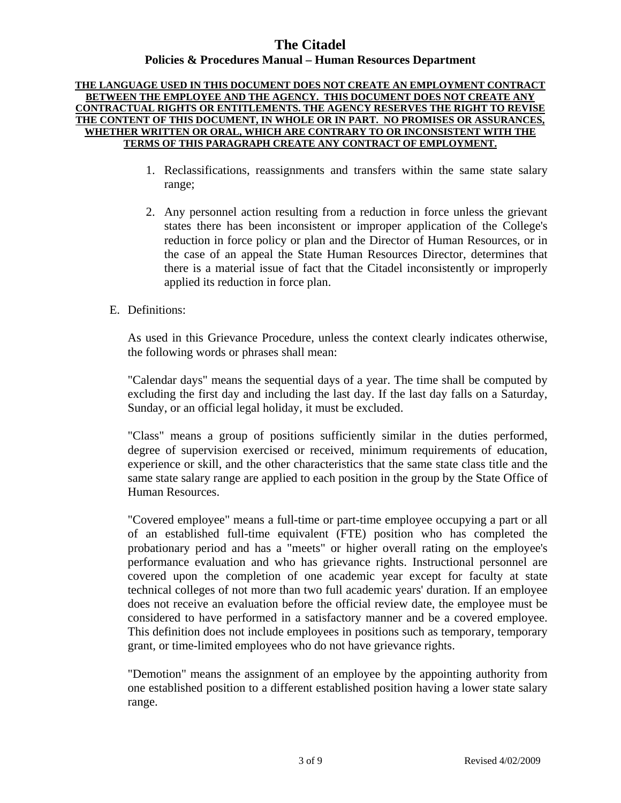#### **THE LANGUAGE USED IN THIS DOCUMENT DOES NOT CREATE AN EMPLOYMENT CONTRACT BETWEEN THE EMPLOYEE AND THE AGENCY. THIS DOCUMENT DOES NOT CREATE ANY CONTRACTUAL RIGHTS OR ENTITLEMENTS. THE AGENCY RESERVES THE RIGHT TO REVISE THE CONTENT OF THIS DOCUMENT, IN WHOLE OR IN PART. NO PROMISES OR ASSURANCES, WHETHER WRITTEN OR ORAL, WHICH ARE CONTRARY TO OR INCONSISTENT WITH THE TERMS OF THIS PARAGRAPH CREATE ANY CONTRACT OF EMPLOYMENT.**

- 1. Reclassifications, reassignments and transfers within the same state salary range;
- 2. Any personnel action resulting from a reduction in force unless the grievant states there has been inconsistent or improper application of the College's reduction in force policy or plan and the Director of Human Resources, or in the case of an appeal the State Human Resources Director, determines that there is a material issue of fact that the Citadel inconsistently or improperly applied its reduction in force plan.
- E. Definitions:

As used in this Grievance Procedure, unless the context clearly indicates otherwise, the following words or phrases shall mean:

"Calendar days" means the sequential days of a year. The time shall be computed by excluding the first day and including the last day. If the last day falls on a Saturday, Sunday, or an official legal holiday, it must be excluded.

"Class" means a group of positions sufficiently similar in the duties performed, degree of supervision exercised or received, minimum requirements of education, experience or skill, and the other characteristics that the same state class title and the same state salary range are applied to each position in the group by the State Office of Human Resources.

"Covered employee" means a full-time or part-time employee occupying a part or all of an established full-time equivalent (FTE) position who has completed the probationary period and has a "meets" or higher overall rating on the employee's performance evaluation and who has grievance rights. Instructional personnel are covered upon the completion of one academic year except for faculty at state technical colleges of not more than two full academic years' duration. If an employee does not receive an evaluation before the official review date, the employee must be considered to have performed in a satisfactory manner and be a covered employee. This definition does not include employees in positions such as temporary, temporary grant, or time-limited employees who do not have grievance rights.

"Demotion" means the assignment of an employee by the appointing authority from one established position to a different established position having a lower state salary range.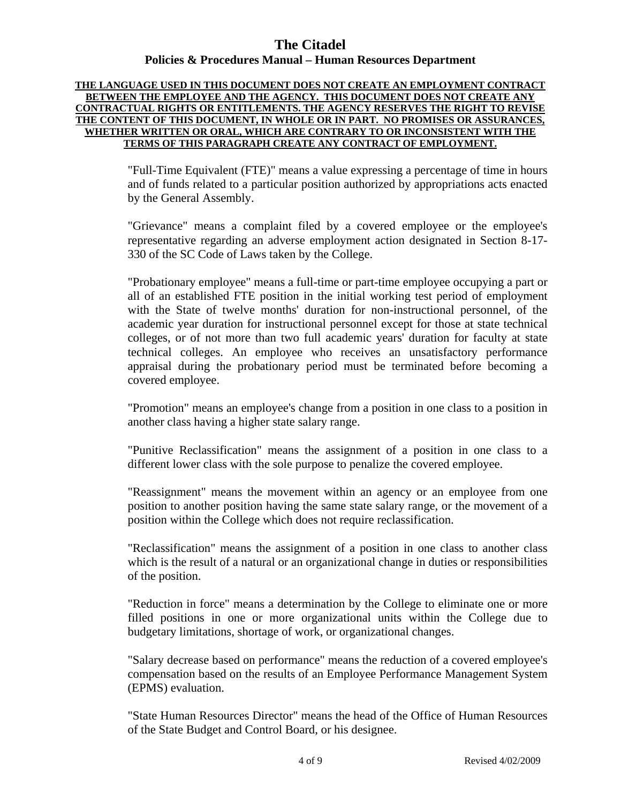#### **THE LANGUAGE USED IN THIS DOCUMENT DOES NOT CREATE AN EMPLOYMENT CONTRACT BETWEEN THE EMPLOYEE AND THE AGENCY. THIS DOCUMENT DOES NOT CREATE ANY CONTRACTUAL RIGHTS OR ENTITLEMENTS. THE AGENCY RESERVES THE RIGHT TO REVISE THE CONTENT OF THIS DOCUMENT, IN WHOLE OR IN PART. NO PROMISES OR ASSURANCES, WHETHER WRITTEN OR ORAL, WHICH ARE CONTRARY TO OR INCONSISTENT WITH THE TERMS OF THIS PARAGRAPH CREATE ANY CONTRACT OF EMPLOYMENT.**

"Full-Time Equivalent (FTE)" means a value expressing a percentage of time in hours and of funds related to a particular position authorized by appropriations acts enacted by the General Assembly.

"Grievance" means a complaint filed by a covered employee or the employee's representative regarding an adverse employment action designated in Section 8-17- 330 of the SC Code of Laws taken by the College.

"Probationary employee" means a full-time or part-time employee occupying a part or all of an established FTE position in the initial working test period of employment with the State of twelve months' duration for non-instructional personnel, of the academic year duration for instructional personnel except for those at state technical colleges, or of not more than two full academic years' duration for faculty at state technical colleges. An employee who receives an unsatisfactory performance appraisal during the probationary period must be terminated before becoming a covered employee.

"Promotion" means an employee's change from a position in one class to a position in another class having a higher state salary range.

"Punitive Reclassification" means the assignment of a position in one class to a different lower class with the sole purpose to penalize the covered employee.

"Reassignment" means the movement within an agency or an employee from one position to another position having the same state salary range, or the movement of a position within the College which does not require reclassification.

"Reclassification" means the assignment of a position in one class to another class which is the result of a natural or an organizational change in duties or responsibilities of the position.

"Reduction in force" means a determination by the College to eliminate one or more filled positions in one or more organizational units within the College due to budgetary limitations, shortage of work, or organizational changes.

"Salary decrease based on performance" means the reduction of a covered employee's compensation based on the results of an Employee Performance Management System (EPMS) evaluation.

"State Human Resources Director" means the head of the Office of Human Resources of the State Budget and Control Board, or his designee.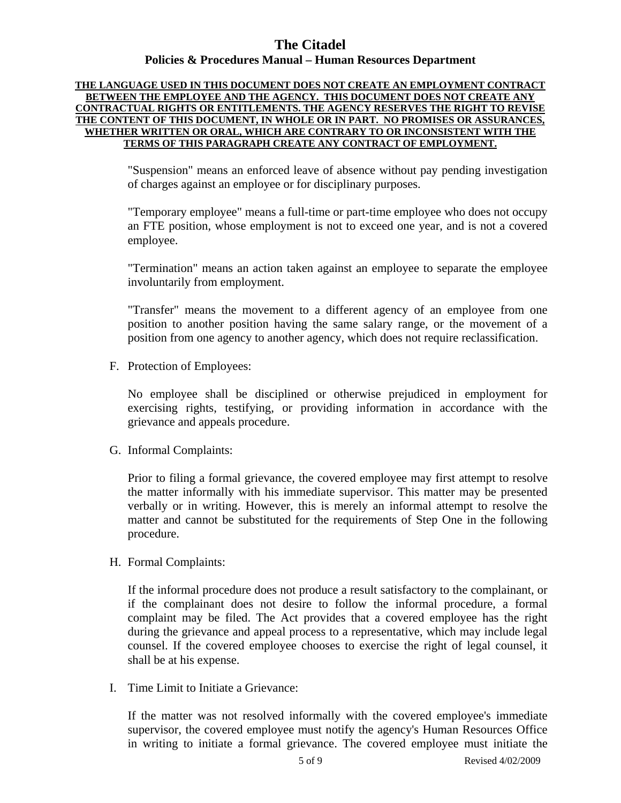#### **THE LANGUAGE USED IN THIS DOCUMENT DOES NOT CREATE AN EMPLOYMENT CONTRACT BETWEEN THE EMPLOYEE AND THE AGENCY. THIS DOCUMENT DOES NOT CREATE ANY CONTRACTUAL RIGHTS OR ENTITLEMENTS. THE AGENCY RESERVES THE RIGHT TO REVISE THE CONTENT OF THIS DOCUMENT, IN WHOLE OR IN PART. NO PROMISES OR ASSURANCES, WHETHER WRITTEN OR ORAL, WHICH ARE CONTRARY TO OR INCONSISTENT WITH THE TERMS OF THIS PARAGRAPH CREATE ANY CONTRACT OF EMPLOYMENT.**

"Suspension" means an enforced leave of absence without pay pending investigation of charges against an employee or for disciplinary purposes.

"Temporary employee" means a full-time or part-time employee who does not occupy an FTE position, whose employment is not to exceed one year, and is not a covered employee.

"Termination" means an action taken against an employee to separate the employee involuntarily from employment.

"Transfer" means the movement to a different agency of an employee from one position to another position having the same salary range, or the movement of a position from one agency to another agency, which does not require reclassification.

F. Protection of Employees:

No employee shall be disciplined or otherwise prejudiced in employment for exercising rights, testifying, or providing information in accordance with the grievance and appeals procedure.

G. Informal Complaints:

Prior to filing a formal grievance, the covered employee may first attempt to resolve the matter informally with his immediate supervisor. This matter may be presented verbally or in writing. However, this is merely an informal attempt to resolve the matter and cannot be substituted for the requirements of Step One in the following procedure.

H. Formal Complaints:

If the informal procedure does not produce a result satisfactory to the complainant, or if the complainant does not desire to follow the informal procedure, a formal complaint may be filed. The Act provides that a covered employee has the right during the grievance and appeal process to a representative, which may include legal counsel. If the covered employee chooses to exercise the right of legal counsel, it shall be at his expense.

I. Time Limit to Initiate a Grievance:

If the matter was not resolved informally with the covered employee's immediate supervisor, the covered employee must notify the agency's Human Resources Office in writing to initiate a formal grievance. The covered employee must initiate the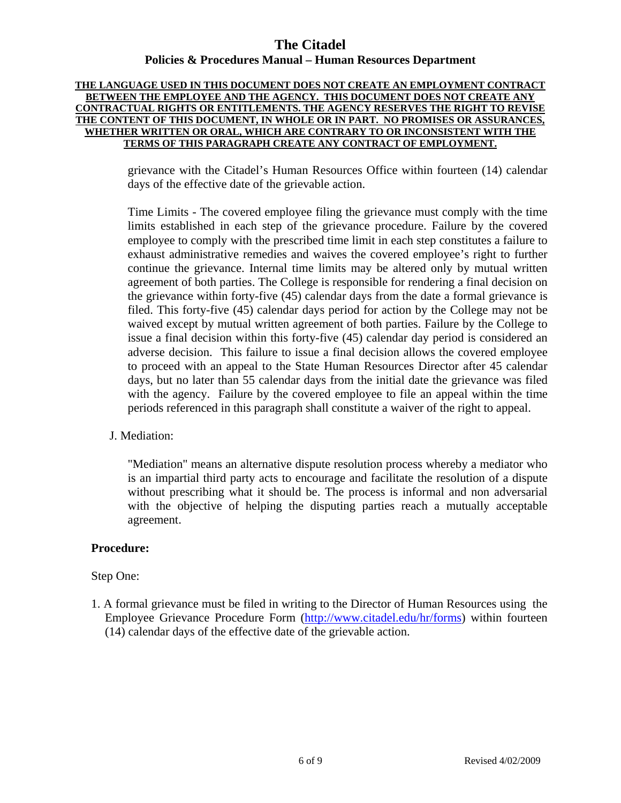#### **THE LANGUAGE USED IN THIS DOCUMENT DOES NOT CREATE AN EMPLOYMENT CONTRACT BETWEEN THE EMPLOYEE AND THE AGENCY. THIS DOCUMENT DOES NOT CREATE ANY CONTRACTUAL RIGHTS OR ENTITLEMENTS. THE AGENCY RESERVES THE RIGHT TO REVISE THE CONTENT OF THIS DOCUMENT, IN WHOLE OR IN PART. NO PROMISES OR ASSURANCES, WHETHER WRITTEN OR ORAL, WHICH ARE CONTRARY TO OR INCONSISTENT WITH THE TERMS OF THIS PARAGRAPH CREATE ANY CONTRACT OF EMPLOYMENT.**

grievance with the Citadel's Human Resources Office within fourteen (14) calendar days of the effective date of the grievable action.

Time Limits - The covered employee filing the grievance must comply with the time limits established in each step of the grievance procedure. Failure by the covered employee to comply with the prescribed time limit in each step constitutes a failure to exhaust administrative remedies and waives the covered employee's right to further continue the grievance. Internal time limits may be altered only by mutual written agreement of both parties. The College is responsible for rendering a final decision on the grievance within forty-five (45) calendar days from the date a formal grievance is filed. This forty-five (45) calendar days period for action by the College may not be waived except by mutual written agreement of both parties. Failure by the College to issue a final decision within this forty-five (45) calendar day period is considered an adverse decision. This failure to issue a final decision allows the covered employee to proceed with an appeal to the State Human Resources Director after 45 calendar days, but no later than 55 calendar days from the initial date the grievance was filed with the agency. Failure by the covered employee to file an appeal within the time periods referenced in this paragraph shall constitute a waiver of the right to appeal.

### J. Mediation:

"Mediation" means an alternative dispute resolution process whereby a mediator who is an impartial third party acts to encourage and facilitate the resolution of a dispute without prescribing what it should be. The process is informal and non adversarial with the objective of helping the disputing parties reach a mutually acceptable agreement.

#### **Procedure:**

#### Step One:

1. A formal grievance must be filed in writing to the Director of Human Resources using the Employee Grievance Procedure Form [\(http://www.citadel.edu/hr/forms](http://www.citadel.edu/hr/forms)) within fourteen (14) calendar days of the effective date of the grievable action.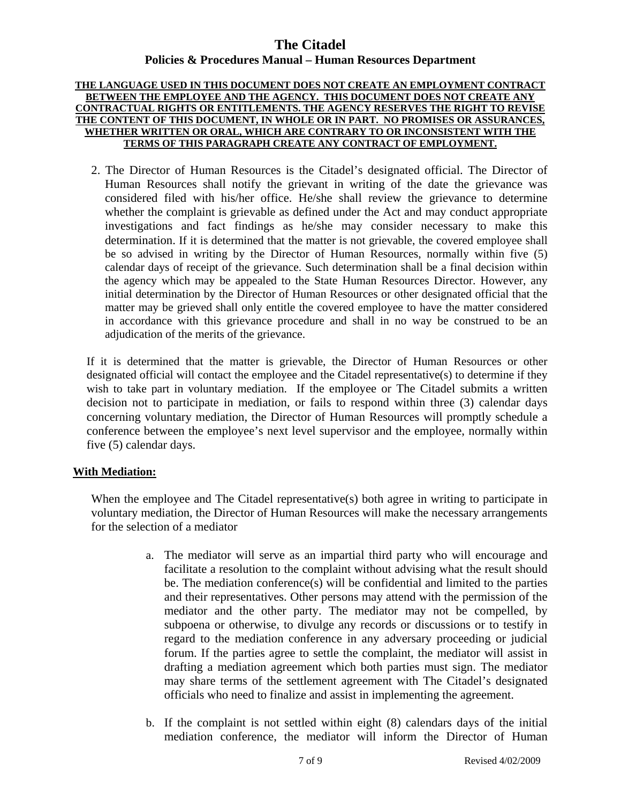#### **THE LANGUAGE USED IN THIS DOCUMENT DOES NOT CREATE AN EMPLOYMENT CONTRACT BETWEEN THE EMPLOYEE AND THE AGENCY. THIS DOCUMENT DOES NOT CREATE ANY CONTRACTUAL RIGHTS OR ENTITLEMENTS. THE AGENCY RESERVES THE RIGHT TO REVISE THE CONTENT OF THIS DOCUMENT, IN WHOLE OR IN PART. NO PROMISES OR ASSURANCES, WHETHER WRITTEN OR ORAL, WHICH ARE CONTRARY TO OR INCONSISTENT WITH THE TERMS OF THIS PARAGRAPH CREATE ANY CONTRACT OF EMPLOYMENT.**

2. The Director of Human Resources is the Citadel's designated official. The Director of Human Resources shall notify the grievant in writing of the date the grievance was considered filed with his/her office. He/she shall review the grievance to determine whether the complaint is grievable as defined under the Act and may conduct appropriate investigations and fact findings as he/she may consider necessary to make this determination. If it is determined that the matter is not grievable, the covered employee shall be so advised in writing by the Director of Human Resources, normally within five (5) calendar days of receipt of the grievance. Such determination shall be a final decision within the agency which may be appealed to the State Human Resources Director. However, any initial determination by the Director of Human Resources or other designated official that the matter may be grieved shall only entitle the covered employee to have the matter considered in accordance with this grievance procedure and shall in no way be construed to be an adjudication of the merits of the grievance.

If it is determined that the matter is grievable, the Director of Human Resources or other designated official will contact the employee and the Citadel representative(s) to determine if they wish to take part in voluntary mediation. If the employee or The Citadel submits a written decision not to participate in mediation, or fails to respond within three (3) calendar days concerning voluntary mediation, the Director of Human Resources will promptly schedule a conference between the employee's next level supervisor and the employee, normally within five (5) calendar days.

### **With Mediation:**

When the employee and The Citadel representative(s) both agree in writing to participate in voluntary mediation, the Director of Human Resources will make the necessary arrangements for the selection of a mediator

- a. The mediator will serve as an impartial third party who will encourage and facilitate a resolution to the complaint without advising what the result should be. The mediation conference(s) will be confidential and limited to the parties and their representatives. Other persons may attend with the permission of the mediator and the other party. The mediator may not be compelled, by subpoena or otherwise, to divulge any records or discussions or to testify in regard to the mediation conference in any adversary proceeding or judicial forum. If the parties agree to settle the complaint, the mediator will assist in drafting a mediation agreement which both parties must sign. The mediator may share terms of the settlement agreement with The Citadel's designated officials who need to finalize and assist in implementing the agreement.
- b. If the complaint is not settled within eight (8) calendars days of the initial mediation conference, the mediator will inform the Director of Human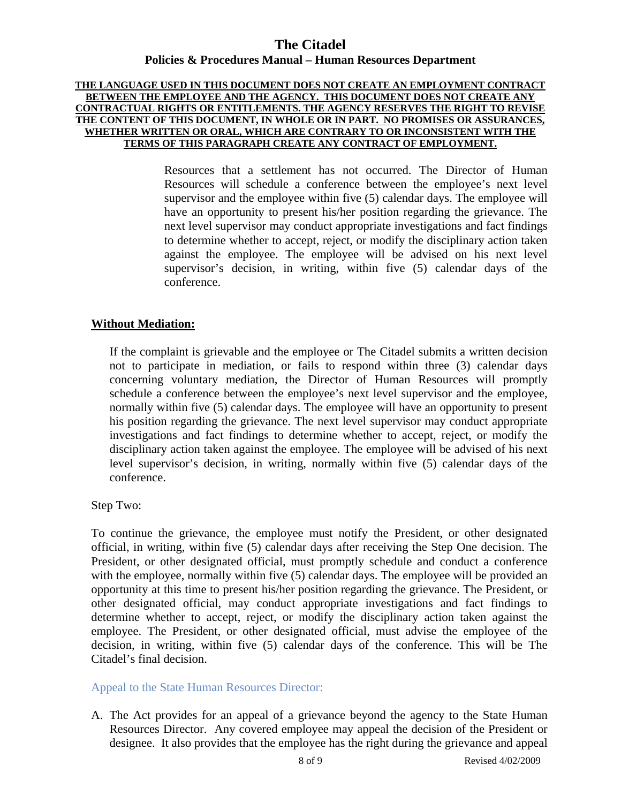#### **THE LANGUAGE USED IN THIS DOCUMENT DOES NOT CREATE AN EMPLOYMENT CONTRACT BETWEEN THE EMPLOYEE AND THE AGENCY. THIS DOCUMENT DOES NOT CREATE ANY CONTRACTUAL RIGHTS OR ENTITLEMENTS. THE AGENCY RESERVES THE RIGHT TO REVISE THE CONTENT OF THIS DOCUMENT, IN WHOLE OR IN PART. NO PROMISES OR ASSURANCES, WHETHER WRITTEN OR ORAL, WHICH ARE CONTRARY TO OR INCONSISTENT WITH THE TERMS OF THIS PARAGRAPH CREATE ANY CONTRACT OF EMPLOYMENT.**

Resources that a settlement has not occurred. The Director of Human Resources will schedule a conference between the employee's next level supervisor and the employee within five (5) calendar days. The employee will have an opportunity to present his/her position regarding the grievance. The next level supervisor may conduct appropriate investigations and fact findings to determine whether to accept, reject, or modify the disciplinary action taken against the employee. The employee will be advised on his next level supervisor's decision, in writing, within five (5) calendar days of the conference.

### **Without Mediation:**

If the complaint is grievable and the employee or The Citadel submits a written decision not to participate in mediation, or fails to respond within three (3) calendar days concerning voluntary mediation, the Director of Human Resources will promptly schedule a conference between the employee's next level supervisor and the employee, normally within five (5) calendar days. The employee will have an opportunity to present his position regarding the grievance. The next level supervisor may conduct appropriate investigations and fact findings to determine whether to accept, reject, or modify the disciplinary action taken against the employee. The employee will be advised of his next level supervisor's decision, in writing, normally within five (5) calendar days of the conference.

Step Two:

To continue the grievance, the employee must notify the President, or other designated official, in writing, within five (5) calendar days after receiving the Step One decision. The President, or other designated official, must promptly schedule and conduct a conference with the employee, normally within five (5) calendar days. The employee will be provided an opportunity at this time to present his/her position regarding the grievance. The President, or other designated official, may conduct appropriate investigations and fact findings to determine whether to accept, reject, or modify the disciplinary action taken against the employee. The President, or other designated official, must advise the employee of the decision, in writing, within five (5) calendar days of the conference. This will be The Citadel's final decision.

Appeal to the State Human Resources Director:

A. The Act provides for an appeal of a grievance beyond the agency to the State Human Resources Director. Any covered employee may appeal the decision of the President or designee. It also provides that the employee has the right during the grievance and appeal